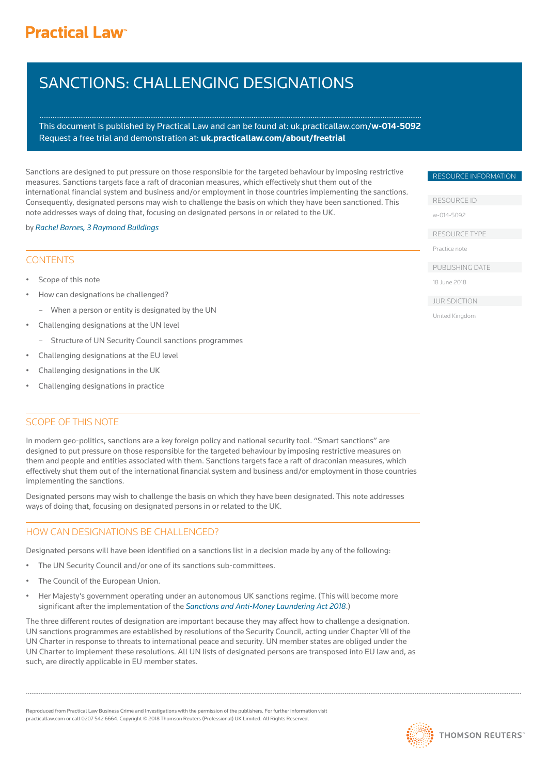# **Practical Law<sup>®</sup>**

# SANCTIONS: CHALLENGING DESIGNATIONS

This document is published by Practical Law and can be found a[t: uk.practicallaw.com/](www.practicallaw.com/w-014-5092)**w-014-5092** Request a free trial and demonstration at: **<uk.practicallaw.com/about/freetrial>**

Sanctions are designed to put pressure on those responsible for the targeted behaviour by imposing restrictive measures. Sanctions targets face a raft of draconian measures, which effectively shut them out of the international financial system and business and/or employment in those countries implementing the sanctions. Consequently, designated persons may wish to challenge the basis on which they have been sanctioned. This note addresses ways of doing that, focusing on designated persons in or related to the UK.

#### by *[Rachel Barnes, 3 Raymond Buildings](https://3rblaw.com/barrister/rachel-barnes/)*

### **CONTENTS**

- Scope of this note
- How can designations be challenged?
	- When a person or entity is designated by the UN
- Challenging designations at the UN level
	- Structure of UN Security Council sanctions programmes
- Challenging designations at the EU level
- Challenging designations in the UK
- Challenging designations in practice

## SCOPE OF THIS NOTE

In modern geo-politics, sanctions are a key foreign policy and national security tool. "Smart sanctions" are designed to put pressure on those responsible for the targeted behaviour by imposing restrictive measures on them and people and entities associated with them. Sanctions targets face a raft of draconian measures, which effectively shut them out of the international financial system and business and/or employment in those countries implementing the sanctions.

Designated persons may wish to challenge the basis on which they have been designated. This note addresses ways of doing that, focusing on designated persons in or related to the UK.

# HOW CAN DESIGNATIONS BE CHALLENGED?

Designated persons will have been identified on a sanctions list in a decision made by any of the following:

- The UN Security Council and/or one of its sanctions sub-committees.
- The Council of the European Union.
- Her Majesty's government operating under an autonomous UK sanctions regime. (This will become more significant after the implementation of the *[Sanctions and Anti-Money Laundering Act 2018](https://uk.practicallaw.thomsonreuters.com/PLCCoreDocument/ViewDocument.html?comp=pluk&DocumentGuid=I4e687ff7600e11e89bf199c0ee06c731&ViewType=FullText&HasDraftingNotes=False&ResearchReportViewMode=False&SessionScopeIsValid=True&IsCourtWireDocument=False&IsSuperPrivateDocument=False&IsPrivateDocument=False&ClientMatter=Cobalt.Website.Platform.Web.UserData.ClientMatter&AuthenticationStrength=5&IsMedLitStubDocument=False&IsOutOfPlanDocumentViewClicked=False&TransitionType=Default&ContextData=(sc.Default)&BillingContextData=(sc.Default))*.)

The three different routes of designation are important because they may affect how to challenge a designation. UN sanctions programmes are established by resolutions of the Security Council, acting under Chapter VII of the UN Charter in response to threats to international peace and security. UN member states are obliged under the UN Charter to implement these resolutions. All UN lists of designated persons are transposed into EU law and, as such, are directly applicable in EU member states.

Reproduced from Practical Law Business Crime and Investigations with the permission of the publishers. For further information visit practicallaw.com or call 0207 542 6664. Copyright © 2018 Thomson Reuters (Professional) UK Limited. All Rights Reserved.



#### RESOURCE INFORMATION

RESOURCE ID

[w-014-5092](www.practicallaw.com/w-014-5092) 

RESOURCE TYPE

Practice note

PUBLISHING DATE

18 June 2018

JURISDICTION

United Kingdom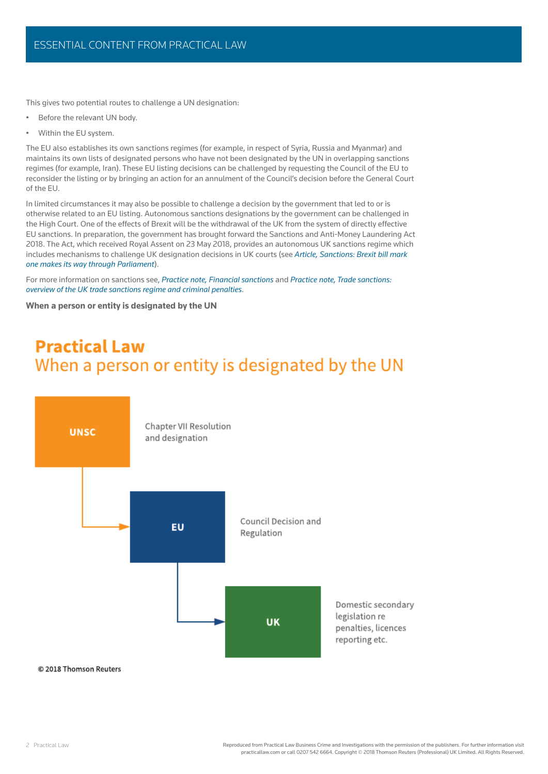This gives two potential routes to challenge a UN designation:

- Before the relevant UN body.
- Within the EU system.

The EU also establishes its own sanctions regimes (for example, in respect of Syria, Russia and Myanmar) and maintains its own lists of designated persons who have not been designated by the UN in overlapping sanctions regimes (for example, Iran). These EU listing decisions can be challenged by requesting the Council of the EU to reconsider the listing or by bringing an action for an annulment of the Council's decision before the General Court of the EU.

In limited circumstances it may also be possible to challenge a decision by the government that led to or is otherwise related to an EU listing. Autonomous sanctions designations by the government can be challenged in the High Court. One of the effects of Brexit will be the withdrawal of the UK from the system of directly effective [EU sanctions. In preparation, the government has brought forward the Sanctions and Anti-Money Laundering Act](www.practicallaw.com/w-014-5092)  2018. The Act, which received Royal Assent on 23 May 2018, provides an autonomous UK sanctions regime which includes mechanisms to challenge UK designation decisions in UK courts (see *Article, Sanctions: Brexit bill mark one makes its way through Parliament*).

For more information on sanctions see, *Practice note, Financial sanctions* and *Practice note, Trade sanctions: overview of the UK trade sanctions regime and criminal penalties*.

**When a person or entity is designated by the UN**

# **Practical Law** When a person or entity is designated by the UN

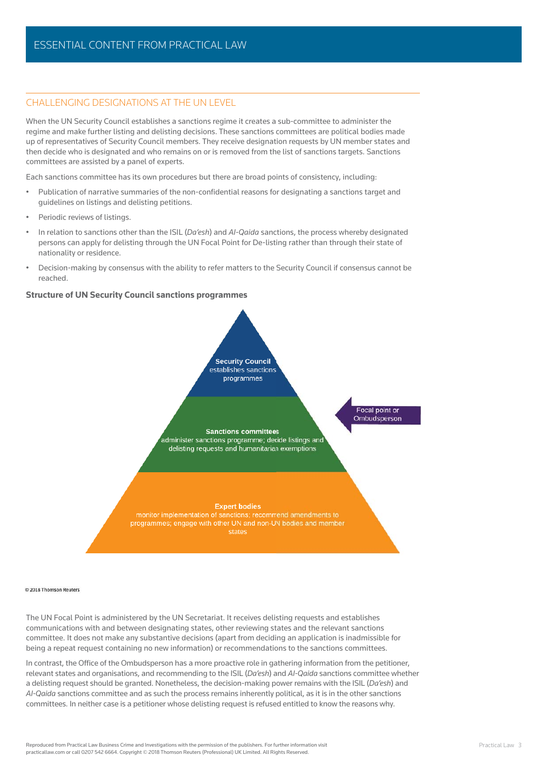#### CHALLENGING DESIGNATIONS AT THE UN LEVEL

When the UN Security Council establishes a sanctions regime it creates a sub-committee to administer the regime and make further listing and delisting decisions. These sanctions committees are political bodies made up of representatives of Security Council members. They receive designation requests by UN member states and then decide who is designated and who remains on or is removed from the list of sanctions targets. Sanctions committees are assisted by a panel of experts.

Each sanctions committee has its own procedures but there are broad points of consistency, including:

- Publication of narrative summaries of the non-confidential reasons for designating a sanctions target and guidelines on listings and delisting petitions.
- Periodic reviews of listings.
- In relation to sanctions other than the ISIL (*Da'esh*) and *Al-Qaida* sanctions, the process whereby designated persons can apply for delisting through the UN Focal Point for De-listing rather than through their state of nationality or residence.
- Decision-making by consensus with the ability to refer matters to the Security Council if consensus cannot be reached.

#### **Structure of UN Security Council sanctions programmes**



#### @ 2018 Thomson Reuters

The UN Focal Point is administered by the UN Secretariat. It receives delisting requests and establishes communications with and between designating states, other reviewing states and the relevant sanctions committee. It does not make any substantive decisions (apart from deciding an application is inadmissible for being a repeat request containing no new information) or recommendations to the sanctions committees.

In contrast, the Office of the Ombudsperson has a more proactive role in gathering information from the petitioner, relevant states and organisations, and recommending to the ISIL (*Da'esh*) and *Al-Qaida* sanctions committee whether a delisting request should be granted. Nonetheless, the decision-making power remains with the ISIL (*Da'esh*) and *Al-Qaida* sanctions committee and as such the process remains inherently political, as it is in the other sanctions committees. In neither case is a petitioner whose delisting request is refused entitled to know the reasons why.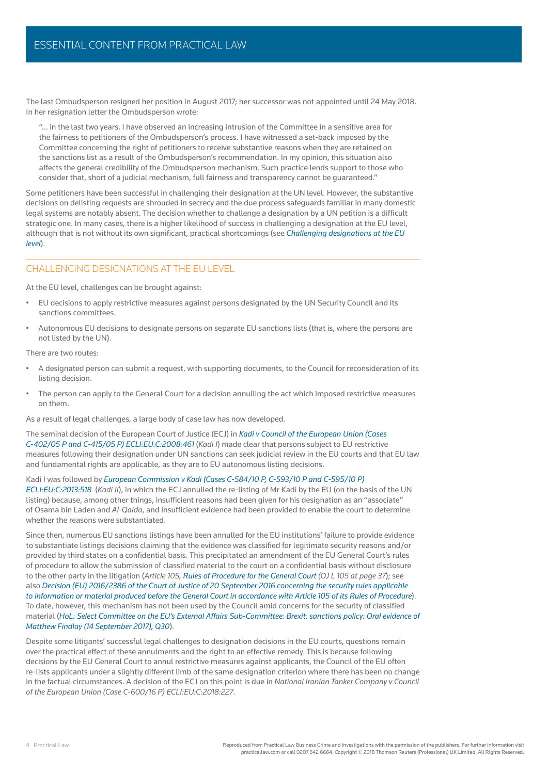The last Ombudsperson resigned her position in August 2017; her successor was not appointed until 24 May 2018. In her resignation letter the Ombudsperson wrote:

"… in the last two years, I have observed an increasing intrusion of the Committee in a sensitive area for the fairness to petitioners of the Ombudsperson's process. I have witnessed a set-back imposed by the Committee concerning the right of petitioners to receive substantive reasons when they are retained on the sanctions list as a result of the Ombudsperson's recommendation. In my opinion, this situation also affects the general credibility of the Ombudsperson mechanism. Such practice lends support to those who consider that, short of a judicial mechanism, full fairness and transparency cannot be guaranteed."

Some petitioners have been successful in challenging their designation at the UN level. However, the substantive decisions on delisting requests are shrouded in secrecy and the due process safeguards familiar in many domestic legal systems are notably absent. The decision whether to challenge a designation by a UN petition is a difficult strategic one. In many cases, there is a higher likelihood of success in challenging a designation at the EU level, although that is not without its own significant, practical shortcomings (see *Challenging designations at the EU level*).

### CHALLENGING DESIGNATIONS AT THE FULLEVEL

At the EU level, challenges can be brought against:

- EU decisions to apply restrictive measures against persons designated by the UN Security Council and its sanctions committees.
- Autonomous EU decisions to designate persons on separate EU sanctions lists (that is, where the persons are not listed by the UN).

There are two routes:

- A designated person can submit a request, with supporting documents, to the Council for reconsideration of its listing decision.
- The person can apply to the General Court for a decision annulling the act which imposed restrictive measures on them.

As a result of legal challenges, a large body of case law has now developed.

The seminal decision of the European Court of Justice (ECJ) in *Kadi v Council of the European Union (Cases C-402/05 P and C-415/05 P) ECLI:EU:C:2008:461* (*Kadi I*) made clear that persons subject to EU restrictive [measures following their designation under UN sanctions can seek judicial review in the EU courts and that EU law](www.practicallaw.com/w-014-5092)  and fundamental rights are applicable, as they are to EU autonomous listing decisions.

Kadi I was followed by *European Commission v Kadi (Cases C-584/10 P, C-593/10 P and C-595/10 P) ECLI:EU:C:2013:518* (*Kadi II*), in which the ECJ annulled the re-listing of Mr Kadi by the EU (on the basis of the UN listing) because, among other things, insufficient reasons had been given for his designation as an "associate" of Osama bin Laden and *Al-Qaida*, and insufficient evidence had been provided to enable the court to determine whether the reasons were substantiated.

Since then, numerous EU sanctions listings have been annulled for the EU institutions' failure to provide evidence to substantiate listings decisions claiming that the evidence was classified for legitimate security reasons and/or provided by third states on a confidential basis. This precipitated an amendment of the EU General Court's rules of procedure to allow the submission of classified material to the court on a confidential basis without disclosure to the other party in the litigation (*Article 105, Rules of Procedure for the General Court (OJ L 105 at page 37*); see also *Decision (EU) 2016/2386 of the Court of Justice of 20 September 2016 concerning the security rules applicable to information or material produced before the General Court in accordance with Article 105 of its Rules of Procedure*). To date, however, this mechanism has not been used by the Council amid concerns for the security of classified material (*HoL: Select Committee on the EU's External Affairs Sub-Committee: Brexit: sanctions policy: Oral evidence of Matthew Findlay (14 September 2017), Q30*).

Despite some litigants' successful legal challenges to designation decisions in the EU courts, questions remain over the practical effect of these annulments and the right to an effective remedy. This is because following decisions by the EU General Court to annul restrictive measures against applicants, the Council of the EU often re-lists applicants under a slightly different limb of the same designation criterion where there has been no change in the factual circumstances. A decision of the ECJ on this point is due in *National Iranian Tanker Company v Council of the European Union (Case C-600/16 P) ECLI:EU:C:2018:227*.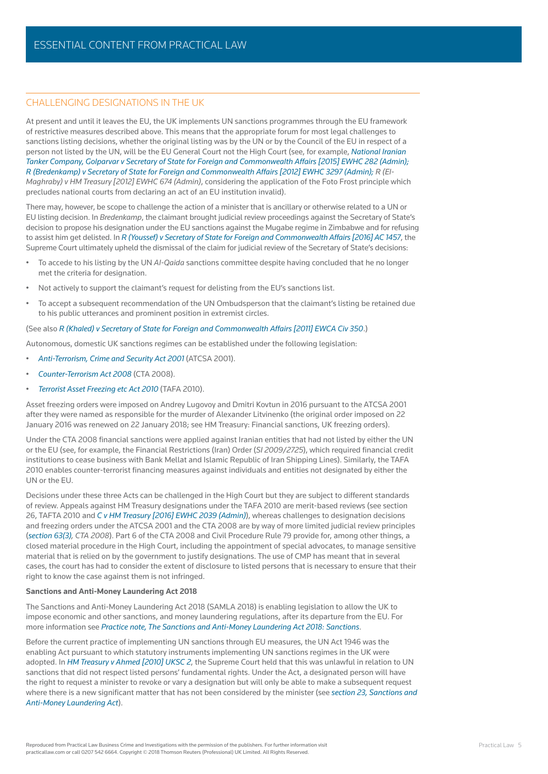#### CHALLENGING DESIGNATIONS IN THE UK

At present and until it leaves the EU, the UK implements UN sanctions programmes through the EU framework of restrictive measures described above. This means that the appropriate forum for most legal challenges to sanctions listing decisions, whether the original listing was by the UN or by the Council of the EU in respect of a person not listed by the UN, will be the EU General Court not the High Court (see, for example, *National Iranian Tanker Company, Golparvar v Secretary of State for Foreign and Commonwealth Affairs [2015] EWHC 282 (Admin); R (Bredenkamp) v Secretary of State for Foreign and Commonwealth Affairs [2012] EWHC 3297 (Admin); R (El-Maghraby) v HM Treasury [2012] EWHC 674 (Admin)*, considering the application of the Foto Frost principle which precludes national courts from declaring an act of an EU institution invalid).

There may, however, be scope to challenge the action of a minister that is ancillary or otherwise related to a UN or EU listing decision. In *Bredenkamp*, the claimant brought judicial review proceedings against the Secretary of State's [decision to propose his designation under the EU sanctions against the Mugabe regime in Zimbabwe and for refusing](www.practicallaw.com/w-014-5092)  to assist him get delisted. In *R (Youssef) v Secretary of State for Foreign and Commonwealth Affairs [2016] AC 1457*, the Supreme Court ultimately upheld the dismissal of the claim for judicial review of the Secretary of State's decisions:

- To accede to his listing by the UN *Al-Qaida* sanctions committee despite having concluded that he no longer met the criteria for designation.
- Not actively to support the claimant's request for delisting from the EU's sanctions list.
- To accept a subsequent recommendation of the UN Ombudsperson that the claimant's listing be retained due to his public utterances and prominent position in extremist circles.

#### (See also *R (Khaled) v Secretary of State for Foreign and Commonwealth Affairs [2011] EWCA Civ 350*.)

Autonomous, domestic UK sanctions regimes can be established under the following legislation:

- *Anti-Terrorism, Crime and Security Act 2001* (ATCSA 2001).
- *Counter-Terrorism Act 2008* (CTA 2008).
- *Terrorist Asset Freezing etc Act 2010* (TAFA 2010).

Asset freezing orders were imposed on Andrey Lugovoy and Dmitri Kovtun in 2016 pursuant to the ATCSA 2001 after they were named as responsible for the murder of Alexander Litvinenko (the original order imposed on 22 January 2016 was renewed on 22 January 2018; see HM Treasury: Financial sanctions, UK freezing orders).

Under the CTA 2008 financial sanctions were applied against Iranian entities that had not listed by either the UN or the EU (see, for example, the Financial Restrictions (Iran) Order (*SI 2009/2725*), which required financial credit institutions to cease business with Bank Mellat and Islamic Republic of Iran Shipping Lines). Similarly, the TAFA 2010 enables counter-terrorist financing measures against individuals and entities not designated by either the UN or the EU.

Decisions under these three Acts can be challenged in the High Court but they are subject to different standards of review. Appeals against HM Treasury designations under the TAFA 2010 are merit-based reviews (see section 26, TAFTA 2010 and *C v HM Treasury [2016] EWHC 2039 (Admin)*), whereas challenges to designation decisions and freezing orders under the ATCSA 2001 and the CTA 2008 are by way of more limited judicial review principles (*section 63(3), CTA 2008*). Part 6 of the CTA 2008 and Civil Procedure Rule 79 provide for, among other things, a closed material procedure in the High Court, including the appointment of special advocates, to manage sensitive material that is relied on by the government to justify designations. The use of CMP has meant that in several [cases, the court has had to consider the extent of disclosure to listed persons that is necessary to ensure that their](www.practicallaw.com/w-014-5092)  right to know the case against them is not infringed.

#### **Sanctions and Anti-Money Laundering Act 2018**

The Sanctions and Anti-Money Laundering Act 2018 (SAMLA 2018) is enabling legislation to allow the UK to impose economic and other sanctions, and money laundering regulations, after its departure from the EU. For more information see *Practice note, The Sanctions and Anti-Money Laundering Act 2018: Sanctions*.

Before the current practice of implementing UN sanctions through EU measures, the UN Act 1946 was the enabling Act pursuant to which statutory instruments implementing UN sanctions regimes in the UK were adopted. In *HM Treasury v Ahmed [2010] UKSC 2*, the Supreme Court held that this was unlawful in relation to UN sanctions that did not respect listed persons' fundamental rights. Under the Act, a designated person will have the right to request a minister to revoke or vary a designation but will only be able to make a subsequent request where there is a new significant matter that has not been considered by the minister (see *section 23, Sanctions and Anti-Money Laundering Act*).